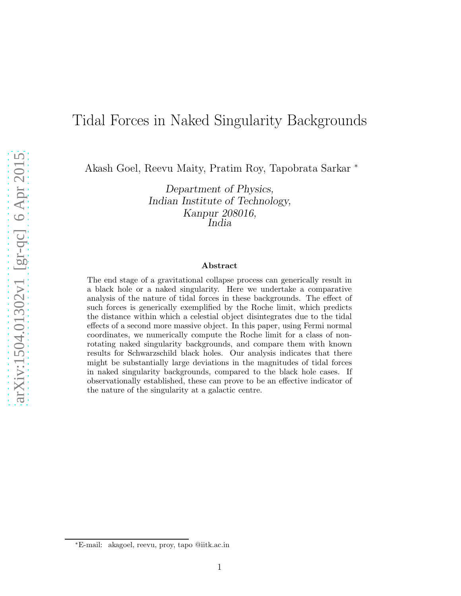# Tidal Forces in Naked Singularity Backgrounds

Akash Goel, Reevu Maity, Pratim Roy, Tapobrata Sarkar <sup>∗</sup>

Department of Physics, Indian Institute of Technology, Kanpur 208016, India

#### Abstract

The end stage of a gravitational collapse process can generically result in a black hole or a naked singularity. Here we undertake a comparative analysis of the nature of tidal forces in these backgrounds. The effect of such forces is generically exemplified by the Roche limit, which predicts the distance within which a celestial object disintegrates due to the tidal effects of a second more massive object. In this paper, using Fermi normal coordinates, we numerically compute the Roche limit for a class of nonrotating naked singularity backgrounds, and compare them with known results for Schwarzschild black holes. Our analysis indicates that there might be substantially large deviations in the magnitudes of tidal forces in naked singularity backgrounds, compared to the black hole cases. If observationally established, these can prove to be an effective indicator of the nature of the singularity at a galactic centre.

<sup>∗</sup>E-mail: akagoel, reevu, proy, tapo @iitk.ac.in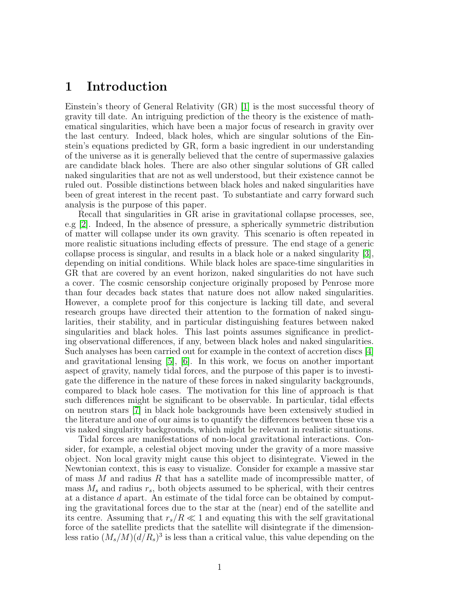## 1 Introduction

Einstein's theory of General Relativity (GR) [\[1\]](#page-18-0) is the most successful theory of gravity till date. An intriguing prediction of the theory is the existence of mathematical singularities, which have been a major focus of research in gravity over the last century. Indeed, black holes, which are singular solutions of the Einstein's equations predicted by GR, form a basic ingredient in our understanding of the universe as it is generally believed that the centre of supermassive galaxies are candidate black holes. There are also other singular solutions of GR called naked singularities that are not as well understood, but their existence cannot be ruled out. Possible distinctions between black holes and naked singularities have been of great interest in the recent past. To substantiate and carry forward such analysis is the purpose of this paper.

Recall that singularities in GR arise in gravitational collapse processes, see, e.g [\[2\]](#page-18-1). Indeed, In the absence of pressure, a spherically symmetric distribution of matter will collapse under its own gravity. This scenario is often repeated in more realistic situations including effects of pressure. The end stage of a generic collapse process is singular, and results in a black hole or a naked singularity [\[3\]](#page-18-2), depending on initial conditions. While black holes are space-time singularities in GR that are covered by an event horizon, naked singularities do not have such a cover. The cosmic censorship conjecture originally proposed by Penrose more than four decades back states that nature does not allow naked singularities. However, a complete proof for this conjecture is lacking till date, and several research groups have directed their attention to the formation of naked singularities, their stability, and in particular distinguishing features between naked singularities and black holes. This last points assumes significance in predicting observational differences, if any, between black holes and naked singularities. Such analyses has been carried out for example in the context of accretion discs [\[4\]](#page-18-3) and gravitational lensing [\[5\]](#page-18-4), [\[6\]](#page-18-5). In this work, we focus on another important aspect of gravity, namely tidal forces, and the purpose of this paper is to investigate the difference in the nature of these forces in naked singularity backgrounds, compared to black hole cases. The motivation for this line of approach is that such differences might be significant to be observable. In particular, tidal effects on neutron stars [\[7\]](#page-18-6) in black hole backgrounds have been extensively studied in the literature and one of our aims is to quantify the differences between these vis a vis naked singularity backgrounds, which might be relevant in realistic situations.

Tidal forces are manifestations of non-local gravitational interactions. Consider, for example, a celestial object moving under the gravity of a more massive object. Non local gravity might cause this object to disintegrate. Viewed in the Newtonian context, this is easy to visualize. Consider for example a massive star of mass M and radius R that has a satellite made of incompressible matter, of mass  $M_s$  and radius  $r_s$ , both objects assumed to be spherical, with their centres at a distance d apart. An estimate of the tidal force can be obtained by computing the gravitational forces due to the star at the (near) end of the satellite and its centre. Assuming that  $r_s/R \ll 1$  and equating this with the self gravitational force of the satellite predicts that the satellite will disintegrate if the dimensionless ratio  $(M_s/M)(d/R_s)^3$  is less than a critical value, this value depending on the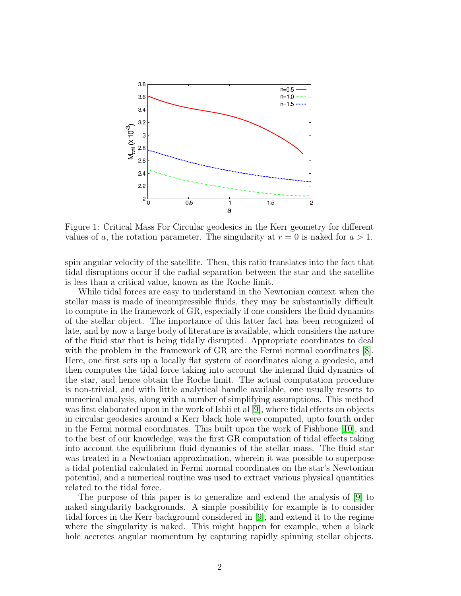

<span id="page-2-0"></span>Figure 1: Critical Mass For Circular geodesics in the Kerr geometry for different values of a, the rotation parameter. The singularity at  $r = 0$  is naked for  $a > 1$ .

spin angular velocity of the satellite. Then, this ratio translates into the fact that tidal disruptions occur if the radial separation between the star and the satellite is less than a critical value, known as the Roche limit.

While tidal forces are easy to understand in the Newtonian context when the stellar mass is made of incompressible fluids, they may be substantially difficult to compute in the framework of GR, especially if one considers the fluid dynamics of the stellar object. The importance of this latter fact has been recognized of late, and by now a large body of literature is available, which considers the nature of the fluid star that is being tidally disrupted. Appropriate coordinates to deal with the problem in the framework of GR are the Fermi normal coordinates  $|8|$ . Here, one first sets up a locally flat system of coordinates along a geodesic, and then computes the tidal force taking into account the internal fluid dynamics of the star, and hence obtain the Roche limit. The actual computation procedure is non-trivial, and with little analytical handle available, one usually resorts to numerical analysis, along with a number of simplifying assumptions. This method was first elaborated upon in the work of Ishii et al [\[9\]](#page-18-8), where tidal effects on objects in circular geodesics around a Kerr black hole were computed, upto fourth order in the Fermi normal coordinates. This built upon the work of Fishbone [\[10\]](#page-18-9), and to the best of our knowledge, was the first GR computation of tidal effects taking into account the equilibrium fluid dynamics of the stellar mass. The fluid star was treated in a Newtonian approximation, wherein it was possible to superpose a tidal potential calculated in Fermi normal coordinates on the star's Newtonian potential, and a numerical routine was used to extract various physical quantities related to the tidal force.

The purpose of this paper is to generalize and extend the analysis of [\[9\]](#page-18-8) to naked singularity backgrounds. A simple possibility for example is to consider tidal forces in the Kerr background considered in [\[9\]](#page-18-8), and extend it to the regime where the singularity is naked. This might happen for example, when a black hole accretes angular momentum by capturing rapidly spinning stellar objects.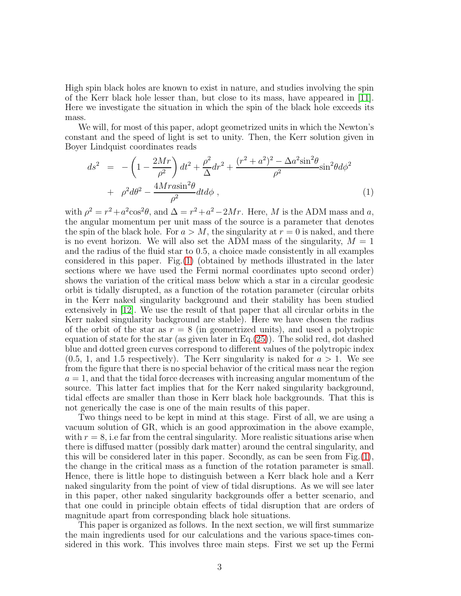High spin black holes are known to exist in nature, and studies involving the spin of the Kerr black hole lesser than, but close to its mass, have appeared in [\[11\]](#page-18-10). Here we investigate the situation in which the spin of the black hole exceeds its mass.

We will, for most of this paper, adopt geometrized units in which the Newton's constant and the speed of light is set to unity. Then, the Kerr solution given in Boyer Lindquist coordinates reads

$$
ds^{2} = -\left(1 - \frac{2Mr}{\rho^{2}}\right)dt^{2} + \frac{\rho^{2}}{\Delta}dr^{2} + \frac{(r^{2} + a^{2})^{2} - \Delta a^{2}\sin^{2}\theta}{\rho^{2}}\sin^{2}\theta d\phi^{2} + \rho^{2}d\theta^{2} - \frac{4Mrasin^{2}\theta}{\rho^{2}}dtd\phi,
$$
\n(1)

with  $\rho^2 = r^2 + a^2 \cos^2 \theta$ , and  $\Delta = r^2 + a^2 - 2Mr$ . Here, M is the ADM mass and a, the angular momentum per unit mass of the source is a parameter that denotes the spin of the black hole. For  $a > M$ , the singularity at  $r = 0$  is naked, and there is no event horizon. We will also set the ADM mass of the singularity,  $M = 1$ and the radius of the fluid star to 0.5, a choice made consistently in all examples considered in this paper. Fig.[\(1\)](#page-2-0) (obtained by methods illustrated in the later sections where we have used the Fermi normal coordinates upto second order) shows the variation of the critical mass below which a star in a circular geodesic orbit is tidally disrupted, as a function of the rotation parameter (circular orbits in the Kerr naked singularity background and their stability has been studied extensively in [\[12\]](#page-18-11). We use the result of that paper that all circular orbits in the Kerr naked singularity background are stable). Here we have chosen the radius of the orbit of the star as  $r = 8$  (in geometrized units), and used a polytropic equation of state for the star (as given later in Eq.[\(25\)](#page-9-0)). The solid red, dot dashed blue and dotted green curves correspond to different values of the polytropic index  $(0.5, 1, \text{ and } 1.5 \text{ respectively})$ . The Kerr singularity is naked for  $a > 1$ . We see from the figure that there is no special behavior of the critical mass near the region  $a = 1$ , and that the tidal force decreases with increasing angular momentum of the source. This latter fact implies that for the Kerr naked singularity background, tidal effects are smaller than those in Kerr black hole backgrounds. That this is not generically the case is one of the main results of this paper.

Two things need to be kept in mind at this stage. First of all, we are using a vacuum solution of GR, which is an good approximation in the above example, with  $r = 8$ , i.e far from the central singularity. More realistic situations arise when there is diffused matter (possibly dark matter) around the central singularity, and this will be considered later in this paper. Secondly, as can be seen from  $\text{Fig.}(1)$  $\text{Fig.}(1)$ , the change in the critical mass as a function of the rotation parameter is small. Hence, there is little hope to distinguish between a Kerr black hole and a Kerr naked singularity from the point of view of tidal disruptions. As we will see later in this paper, other naked singularity backgrounds offer a better scenario, and that one could in principle obtain effects of tidal disruption that are orders of magnitude apart from corresponding black hole situations.

This paper is organized as follows. In the next section, we will first summarize the main ingredients used for our calculations and the various space-times considered in this work. This involves three main steps. First we set up the Fermi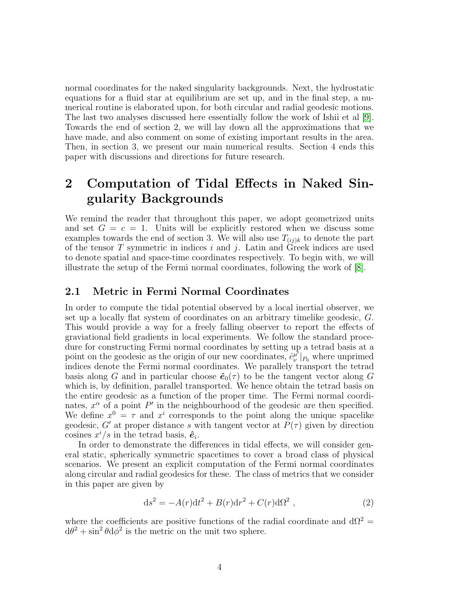normal coordinates for the naked singularity backgrounds. Next, the hydrostatic equations for a fluid star at equilibrium are set up, and in the final step, a numerical routine is elaborated upon, for both circular and radial geodesic motions. The last two analyses discussed here essentially follow the work of Ishii et al [\[9\]](#page-18-8). Towards the end of section 2, we will lay down all the approximations that we have made, and also comment on some of existing important results in the area. Then, in section 3, we present our main numerical results. Section 4 ends this paper with discussions and directions for future research.

# 2 Computation of Tidal Effects in Naked Singularity Backgrounds

We remind the reader that throughout this paper, we adopt geometrized units and set  $G = c = 1$ . Units will be explicitly restored when we discuss some examples towards the end of section 3. We will also use  $T_{(ij)k}$  to denote the part of the tensor  $T$  symmetric in indices  $i$  and  $j$ . Latin and Greek indices are used to denote spatial and space-time coordinates respectively. To begin with, we will illustrate the setup of the Fermi normal coordinates, following the work of [\[8\]](#page-18-7).

#### 2.1 Metric in Fermi Normal Coordinates

In order to compute the tidal potential observed by a local inertial observer, we set up a locally flat system of coordinates on an arbitrary timelike geodesic, G. This would provide a way for a freely falling observer to report the effects of graviational field gradients in local experiments. We follow the standard procedure for constructing Fermi normal coordinates by setting up a tetrad basis at a point on the geodesic as the origin of our new coordinates,  $\hat{e}_{\nu}^{\mu'}$  $|\mu'|\_P_0$  where unprimed indices denote the Fermi normal coordinates. We parallely transport the tetrad basis along G and in particular choose  $\hat{\mathbf{e}}_0(\tau)$  to be the tangent vector along G which is, by definition, parallel transported. We hence obtain the tetrad basis on the entire geodesic as a function of the proper time. The Fermi normal coordinates,  $x^{\alpha}$  of a point P' in the neighbourhood of the geodesic are then specified. We define  $x^0 = \tau$  and  $x^i$  corresponds to the point along the unique spacelike geodesic, G' at proper distance s with tangent vector at  $P(\tau)$  given by direction cosines  $x^i/s$  in the tetrad basis,  $\hat{e}_i$ .

In order to demonstrate the differences in tidal effects, we will consider general static, spherically symmetric spacetimes to cover a broad class of physical scenarios. We present an explicit computation of the Fermi normal coordinates along circular and radial geodesics for these. The class of metrics that we consider in this paper are given by

$$
ds^{2} = -A(r)dt^{2} + B(r)dr^{2} + C(r)d\Omega^{2} ,
$$
 (2)

where the coefficients are positive functions of the radial coordinate and  $d\Omega^2 =$  $d\theta^2 + \sin^2 \theta d\phi^2$  is the metric on the unit two sphere.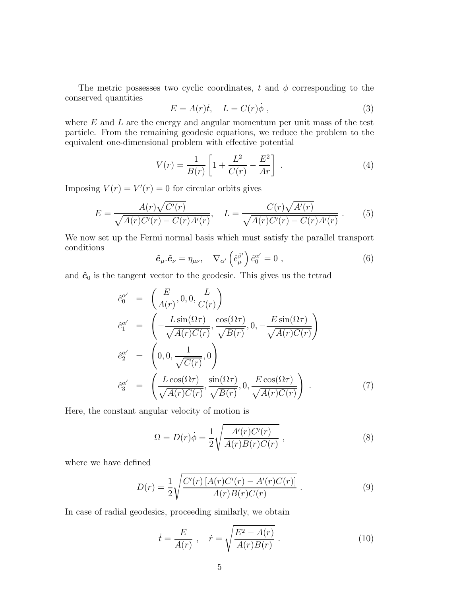The metric possesses two cyclic coordinates, t and  $\phi$  corresponding to the conserved quantities

$$
E = A(r)\dot{t}, \quad L = C(r)\dot{\phi} \tag{3}
$$

where  $E$  and  $L$  are the energy and angular momentum per unit mass of the test particle. From the remaining geodesic equations, we reduce the problem to the equivalent one-dimensional problem with effective potential

$$
V(r) = \frac{1}{B(r)} \left[ 1 + \frac{L^2}{C(r)} - \frac{E^2}{Ar} \right] .
$$
 (4)

Imposing  $V(r) = V'(r) = 0$  for circular orbits gives

$$
E = \frac{A(r)\sqrt{C'(r)}}{\sqrt{A(r)C'(r) - C(r)A'(r)}}, \quad L = \frac{C(r)\sqrt{A'(r)}}{\sqrt{A(r)C'(r) - C(r)A'(r)}}.
$$
(5)

We now set up the Fermi normal basis which must satisfy the parallel transport conditions

<span id="page-5-0"></span>
$$
\hat{\boldsymbol{e}}_{\mu} \cdot \hat{\boldsymbol{e}}_{\nu} = \eta_{\mu\nu}, \quad \nabla_{\alpha'} \left( \hat{e}_{\mu}^{\beta'} \right) \hat{e}_{0}^{\alpha'} = 0 , \qquad (6)
$$

and  $\hat{\boldsymbol{e}}_0$  is the tangent vector to the geodesic. This gives us the tetrad

$$
\begin{aligned}\n\hat{e}_0^{\alpha'} &= \left(\frac{E}{A(r)}, 0, 0, \frac{L}{C(r)}\right) \\
\hat{e}_1^{\alpha'} &= \left(-\frac{L\sin(\Omega\tau)}{\sqrt{A(r)C(r)}}, \frac{\cos(\Omega\tau)}{\sqrt{B(r)}}, 0, -\frac{E\sin(\Omega\tau)}{\sqrt{A(r)C(r)}}\right) \\
\hat{e}_2^{\alpha'} &= \left(0, 0, \frac{1}{\sqrt{C(r)}}, 0\right) \\
\hat{e}_3^{\alpha'} &= \left(\frac{L\cos(\Omega\tau)}{\sqrt{A(r)C(r)}}, \frac{\sin(\Omega\tau)}{\sqrt{B(r)}}, 0, \frac{E\cos(\Omega\tau)}{\sqrt{A(r)C(r)}}\right) .\n\end{aligned} \tag{7}
$$

Here, the constant angular velocity of motion is

$$
\Omega = D(r)\dot{\phi} = \frac{1}{2} \sqrt{\frac{A'(r)C'(r)}{A(r)B(r)C(r)}},\qquad(8)
$$

where we have defined

$$
D(r) = \frac{1}{2} \sqrt{\frac{C'(r) [A(r)C'(r) - A'(r)C(r)]}{A(r)B(r)C(r)}}.
$$
\n(9)

In case of radial geodesics, proceeding similarly, we obtain

$$
\dot{t} = \frac{E}{A(r)}, \quad \dot{r} = \sqrt{\frac{E^2 - A(r)}{A(r)B(r)}}.
$$
\n(10)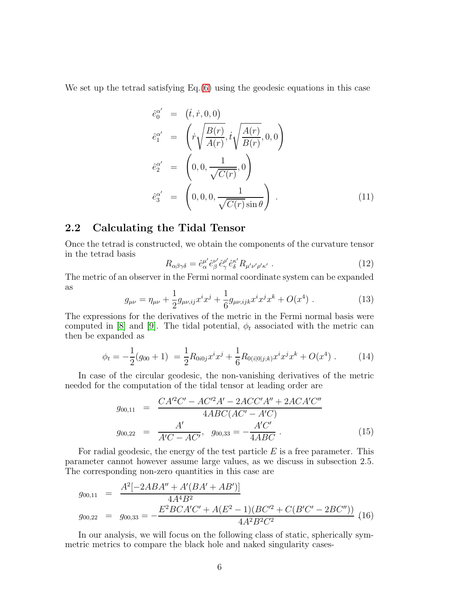We set up the tetrad satisfying Eq.[\(6\)](#page-5-0) using the geodesic equations in this case

$$
\begin{aligned}\n\hat{e}_0^{\alpha'} &= (t, \dot{r}, 0, 0) \\
\hat{e}_1^{\alpha'} &= \left(\dot{r} \sqrt{\frac{B(r)}{A(r)}}, \dot{t} \sqrt{\frac{A(r)}{B(r)}}, 0, 0\right) \\
\hat{e}_2^{\alpha'} &= \left(0, 0, \frac{1}{\sqrt{C(r)}}, 0\right) \\
\hat{e}_3^{\alpha'} &= \left(0, 0, 0, \frac{1}{\sqrt{C(r)}\sin\theta}\right)\n\end{aligned} \tag{11}
$$

#### 2.2 Calculating the Tidal Tensor

Once the tetrad is constructed, we obtain the components of the curvature tensor in the tetrad basis

$$
R_{\alpha\beta\gamma\delta} = \hat{e}^{\mu'}_{\alpha} \hat{e}^{\nu'}_{\beta} \hat{e}^{\rho'}_{\gamma} \hat{e}^{\kappa'}_{\delta} R_{\mu'\nu'\rho'\kappa'} . \qquad (12)
$$

The metric of an observer in the Fermi normal coordinate system can be expanded as

$$
g_{\mu\nu} = \eta_{\mu\nu} + \frac{1}{2} g_{\mu\nu,ij} x^i x^j + \frac{1}{6} g_{\mu\nu,ijk} x^i x^j x^k + O(x^4) \tag{13}
$$

The expressions for the derivatives of the metric in the Fermi normal basis were computed in [\[8\]](#page-18-7) and [\[9\]](#page-18-8). The tidal potential,  $\phi_t$  associated with the metric can then be expanded as

<span id="page-6-0"></span>
$$
\phi_t = -\frac{1}{2}(g_{00} + 1) = \frac{1}{2}R_{0i0j}x^ix^j + \frac{1}{6}R_{0(i|0|j;k)}x^ix^jx^k + O(x^4) \ . \tag{14}
$$

In case of the circular geodesic, the non-vanishing derivatives of the metric needed for the computation of the tidal tensor at leading order are

$$
g_{00,11} = \frac{CA'^2C' - AC'^2A' - 2ACC'A'' + 2ACA'C''}{4ABC(AC' - A'C')}
$$
  

$$
g_{00,22} = \frac{A'}{A'C - AC'}, \quad g_{00,33} = -\frac{AC'}{4ABC}.
$$
 (15)

For radial geodesic, the energy of the test particle  $E$  is a free parameter. This parameter cannot however assume large values, as we discuss in subsection 2.5. The corresponding non-zero quantities in this case are

$$
g_{00,11} = \frac{A^2[-2ABA'' + A'(BA' + AB')]}{4A^4B^2}
$$
  
\n
$$
g_{00,22} = g_{00,33} = -\frac{E^2BCA'C' + A(E^2 - 1)(BC'^2 + C(B'C' - 2BC''))}{4A^2B^2C^2}
$$
(16)

In our analysis, we will focus on the following class of static, spherically symmetric metrics to compare the black hole and naked singularity cases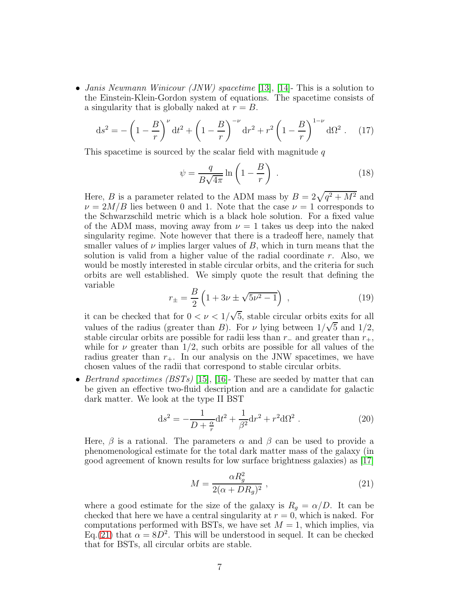• Janis Newmann Winicour (JNW) spacetime [\[13\]](#page-18-12), [\[14\]](#page-18-13)- This is a solution to the Einstein-Klein-Gordon system of equations. The spacetime consists of a singularity that is globally naked at  $r = B$ .

<span id="page-7-1"></span>
$$
ds^{2} = -\left(1 - \frac{B}{r}\right)^{\nu} dt^{2} + \left(1 - \frac{B}{r}\right)^{-\nu} dr^{2} + r^{2} \left(1 - \frac{B}{r}\right)^{1 - \nu} d\Omega^{2} . \tag{17}
$$

This spacetime is sourced by the scalar field with magnitude  $q$ 

$$
\psi = \frac{q}{B\sqrt{4\pi}} \ln\left(1 - \frac{B}{r}\right) \tag{18}
$$

Here, B is a parameter related to the ADM mass by  $B = 2\sqrt{q^2 + M^2}$  and  $\nu = 2M/B$  lies between 0 and 1. Note that the case  $\nu = 1$  corresponds to the Schwarzschild metric which is a black hole solution. For a fixed value of the ADM mass, moving away from  $\nu = 1$  takes us deep into the naked singularity regime. Note however that there is a tradeoff here, namely that smaller values of  $\nu$  implies larger values of B, which in turn means that the solution is valid from a higher value of the radial coordinate  $r$ . Also, we would be mostly interested in stable circular orbits, and the criteria for such orbits are well established. We simply quote the result that defining the variable

$$
r_{\pm} = \frac{B}{2} \left( 1 + 3\nu \pm \sqrt{5\nu^2 - 1} \right) , \qquad (19)
$$

it can be checked that for  $0 < \nu < 1/\sqrt{5}$ , stable circular orbits exits for all values of the radius (greater than B). For  $\nu$  lying between  $1/\sqrt{5}$  and  $1/2$ , stable circular orbits are possible for radii less than  $r_-\,$  and greater than  $r_+,$ while for  $\nu$  greater than 1/2, such orbits are possible for all values of the radius greater than  $r_{+}$ . In our analysis on the JNW spacetimes, we have chosen values of the radii that correspond to stable circular orbits.

• Bertrand spacetimes  $(BSTs)$  [\[15\]](#page-18-14), [\[16\]](#page-18-15)- These are seeded by matter that can be given an effective two-fluid description and are a candidate for galactic dark matter. We look at the type II BST

<span id="page-7-2"></span>
$$
ds^{2} = -\frac{1}{D + \frac{\alpha}{r}} dt^{2} + \frac{1}{\beta^{2}} dr^{2} + r^{2} d\Omega^{2} .
$$
 (20)

Here,  $\beta$  is a rational. The parameters  $\alpha$  and  $\beta$  can be used to provide a phenomenological estimate for the total dark matter mass of the galaxy (in good agreement of known results for low surface brightness galaxies) as [\[17\]](#page-18-16)

<span id="page-7-0"></span>
$$
M = \frac{\alpha R_g^2}{2(\alpha + D R_g)^2} \,,\tag{21}
$$

where a good estimate for the size of the galaxy is  $R_g = \alpha/D$ . It can be checked that here we have a central singularity at  $r = 0$ , which is naked. For computations performed with BSTs, we have set  $M = 1$ , which implies, via Eq.[\(21\)](#page-7-0) that  $\alpha = 8D^2$ . This will be understood in sequel. It can be checked that for BSTs, all circular orbits are stable.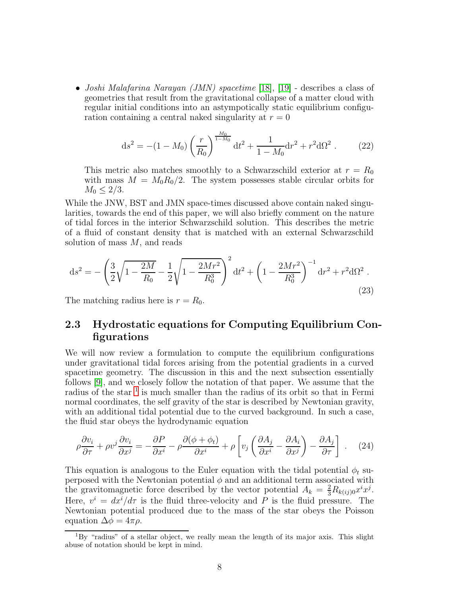• Joshi Malafarina Narayan (JMN) spacetime [\[18\]](#page-18-17), [\[19\]](#page-18-18) - describes a class of geometries that result from the gravitational collapse of a matter cloud with regular initial conditions into an astympotically static equilibrium configuration containing a central naked singularity at  $r = 0$ 

$$
ds^{2} = -(1 - M_{0}) \left(\frac{r}{R_{0}}\right)^{\frac{M_{0}}{1 - M_{0}}} dt^{2} + \frac{1}{1 - M_{0}} dr^{2} + r^{2} d\Omega^{2} . \qquad (22)
$$

This metric also matches smoothly to a Schwarzschild exterior at  $r = R_0$ with mass  $M = M_0R_0/2$ . The system possesses stable circular orbits for  $M_0 \leq 2/3$ .

While the JNW, BST and JMN space-times discussed above contain naked singularities, towards the end of this paper, we will also briefly comment on the nature of tidal forces in the interior Schwarzschild solution. This describes the metric of a fluid of constant density that is matched with an external Schwarzschild solution of mass  $M$ , and reads

<span id="page-8-2"></span>
$$
ds^{2} = -\left(\frac{3}{2}\sqrt{1 - \frac{2M}{R_{0}}} - \frac{1}{2}\sqrt{1 - \frac{2Mr^{2}}{R_{0}^{3}}}\right)^{2}dt^{2} + \left(1 - \frac{2Mr^{2}}{R_{0}^{3}}\right)^{-1}dr^{2} + r^{2}d\Omega^{2}. \tag{23}
$$

The matching radius here is  $r = R_0$ .

### 2.3 Hydrostatic equations for Computing Equilibrium Configurations

We will now review a formulation to compute the equilibrium configurations under gravitational tidal forces arising from the potential gradients in a curved spacetime geometry. The discussion in this and the next subsection essentially follows [\[9\]](#page-18-8), and we closely follow the notation of that paper. We assume that the radius of the star<sup>[1](#page-8-0)</sup> is much smaller than the radius of its orbit so that in Fermi normal coordinates, the self gravity of the star is described by Newtonian gravity, with an additional tidal potential due to the curved background. In such a case, the fluid star obeys the hydrodynamic equation

<span id="page-8-1"></span>
$$
\rho \frac{\partial v_i}{\partial \tau} + \rho v^j \frac{\partial v_i}{\partial x^j} = -\frac{\partial P}{\partial x^i} - \rho \frac{\partial (\phi + \phi_t)}{\partial x^i} + \rho \left[ v_j \left( \frac{\partial A_j}{\partial x^i} - \frac{\partial A_i}{\partial x^j} \right) - \frac{\partial A_j}{\partial \tau} \right] . \tag{24}
$$

This equation is analogous to the Euler equation with the tidal potential  $\phi_t$  superposed with the Newtonian potential  $\phi$  and an additional term associated with the gravitomagnetic force described by the vector potential  $A_k = \frac{2}{3} R_{k(ij)0} x^i x^j$ . Here,  $v^i = dx^i/d\tau$  is the fluid three-velocity and P is the fluid pressure. The Newtonian potential produced due to the mass of the star obeys the Poisson equation  $\Delta \phi = 4\pi \rho$ .

<span id="page-8-0"></span><sup>1</sup>By "radius" of a stellar object, we really mean the length of its major axis. This slight abuse of notation should be kept in mind.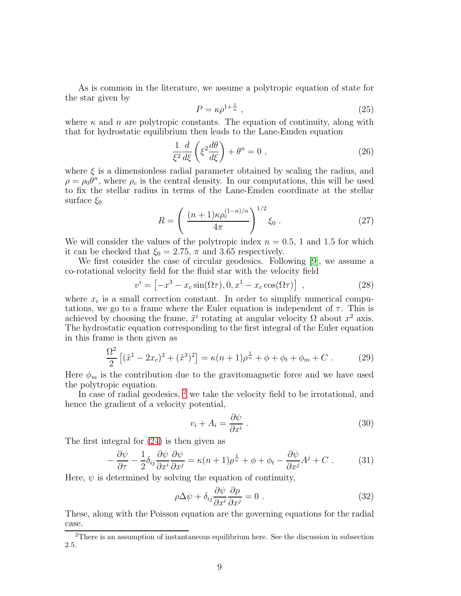As is common in the literature, we assume a polytropic equation of state for the star given by

<span id="page-9-0"></span>
$$
P = \kappa \rho^{1 + \frac{1}{n}},\tag{25}
$$

where  $\kappa$  and n are polytropic constants. The equation of continuity, along with that for hydrostatic equilibrium then leads to the Lane-Emden equation

$$
\frac{1}{\xi^2} \frac{d}{d\xi} \left( \xi^2 \frac{d\theta}{d\xi} \right) + \theta^n = 0 , \qquad (26)
$$

where  $\xi$  is a dimensionless radial parameter obtained by scaling the radius, and  $\rho = \rho_0 \theta^n$ , where  $\rho_c$  is the central density. In our computations, this will be used to fix the stellar radius in terms of the Lane-Emden coordinate at the stellar surface  $\xi_0$ 

$$
R = \left(\frac{(n+1)\kappa \rho_c^{(1-n)/n}}{4\pi}\right)^{1/2} \xi_0 \ . \tag{27}
$$

We will consider the values of the polytropic index  $n = 0.5$ , 1 and 1.5 for which it can be checked that  $\xi_0 = 2.75$ ,  $\pi$  and 3.65 respectively.

We first consider the case of circular geodesics. Following [\[9\]](#page-18-8), we assume a co-rotational velocity field for the fluid star with the velocity field

$$
v^{i} = \left[ -x^{3} - x_{c} \sin(\Omega \tau), 0, x^{1} - x_{c} \cos(\Omega \tau) \right] , \qquad (28)
$$

where  $x_c$  is a small correction constant. In order to simplify numerical computations, we go to a frame where the Euler equation is independent of  $\tau$ . This is achieved by choosing the frame,  $\tilde{x}^i$  rotating at angular velocity  $\Omega$  about  $x^2$  axis. The hydrostatic equation corresponding to the first integral of the Euler equation in this frame is then given as

<span id="page-9-2"></span>
$$
\frac{\Omega^2}{2} \left[ (\tilde{x}^1 - 2x_c)^2 + (\tilde{x}^3)^2 \right] = \kappa (n+1) \rho^{\frac{1}{n}} + \phi + \phi_t + \phi_m + C \ . \tag{29}
$$

Here  $\phi_m$  is the contribution due to the gravitomagnetic force and we have used the polytropic equation.

In case of radial geodesics, <sup>[2](#page-9-1)</sup> we take the velocity field to be irrotational, and hence the gradient of a velocity potential,

$$
v_i + A_i = \frac{\partial \psi}{\partial x^i} \tag{30}
$$

The first integral for [\(24\)](#page-8-1) is then given as

<span id="page-9-4"></span>
$$
-\frac{\partial \psi}{\partial \tau} - \frac{1}{2} \delta_{ij} \frac{\partial \psi}{\partial x^i} \frac{\partial \psi}{\partial x^j} = \kappa (n+1) \rho^{\frac{1}{n}} + \phi + \phi_t - \frac{\partial \psi}{\partial x^j} A^j + C \ . \tag{31}
$$

Here,  $\psi$  is determined by solving the equation of continuity,

<span id="page-9-3"></span>
$$
\rho \Delta \psi + \delta_{ij} \frac{\partial \psi}{\partial x^i} \frac{\partial \rho}{\partial x^j} = 0 \tag{32}
$$

These, along with the Poisson equation are the governing equations for the radial case.

<span id="page-9-1"></span><sup>2</sup>There is an assumption of instantaneous equilibrium here. See the discussion in subsection 2.5.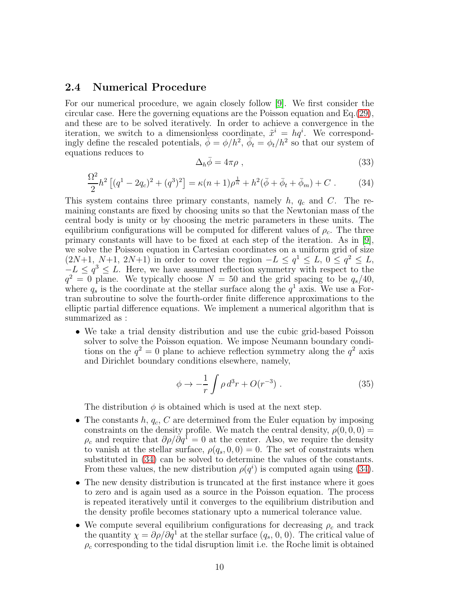#### 2.4 Numerical Procedure

For our numerical procedure, we again closely follow [\[9\]](#page-18-8). We first consider the circular case. Here the governing equations are the Poisson equation and  $Eq.(29)$  $Eq.(29)$ , and these are to be solved iteratively. In order to achieve a convergence in the iteration, we switch to a dimensionless coordinate,  $\tilde{x}^i = hq^i$ . We correspondingly define the rescaled potentials,  $\bar{\phi} = \phi/h^2$ ,  $\bar{\phi}_t = \phi_t/h^2$  so that our system of equations reduces to

$$
\Delta_h \bar{\phi} = 4\pi \rho \tag{33}
$$

<span id="page-10-0"></span>
$$
\frac{\Omega^2}{2}h^2\left[(q^1 - 2q_c)^2 + (q^3)^2\right] = \kappa(n+1)\rho^{\frac{1}{n}} + h^2(\bar{\phi} + \bar{\phi}_t + \bar{\phi}_m) + C \ . \tag{34}
$$

This system contains three primary constants, namely  $h$ ,  $q_c$  and  $C$ . The remaining constants are fixed by choosing units so that the Newtonian mass of the central body is unity or by choosing the metric parameters in these units. The equilibrium configurations will be computed for different values of  $\rho_c$ . The three primary constants will have to be fixed at each step of the iteration. As in [\[9\]](#page-18-8), we solve the Poisson equation in Cartesian coordinates on a uniform grid of size  $(2N+1, N+1, 2N+1)$  in order to cover the region  $-L \leq q^1 \leq L$ ,  $0 \leq q^2 \leq L$ ,  $-L \leq q^3 \leq L$ . Here, we have assumed reflection symmetry with respect to the  $q^2 = 0$  plane. We typically choose  $N = 50$  and the grid spacing to be  $q_s/40$ , where  $q_s$  is the coordinate at the stellar surface along the  $q<sup>1</sup>$  axis. We use a Fortran subroutine to solve the fourth-order finite difference approximations to the elliptic partial difference equations. We implement a numerical algorithm that is summarized as :

• We take a trial density distribution and use the cubic grid-based Poisson solver to solve the Poisson equation. We impose Neumann boundary conditions on the  $q^2 = 0$  plane to achieve reflection symmetry along the  $q^2$  axis and Dirichlet boundary conditions elsewhere, namely,

$$
\phi \to -\frac{1}{r} \int \rho \, d^3r + O(r^{-3}) \; . \tag{35}
$$

The distribution  $\phi$  is obtained which is used at the next step.

- The constants  $h, q_c, C$  are determined from the Euler equation by imposing constraints on the density profile. We match the central density,  $\rho(0, 0, 0) =$  $\rho_c$  and require that  $\partial \rho / \partial q^1 = 0$  at the center. Also, we require the density to vanish at the stellar surface,  $\rho(q_s, 0, 0) = 0$ . The set of constraints when substituted in [\(34\)](#page-10-0) can be solved to determine the values of the constants. From these values, the new distribution  $\rho(q^i)$  is computed again using [\(34\)](#page-10-0).
- The new density distribution is truncated at the first instance where it goes to zero and is again used as a source in the Poisson equation. The process is repeated iteratively until it converges to the equilibrium distribution and the density profile becomes stationary upto a numerical tolerance value.
- We compute several equilibrium configurations for decreasing  $\rho_c$  and track the quantity  $\chi = \partial \rho / \partial q^1$  at the stellar surface  $(q_s, 0, 0)$ . The critical value of  $\rho_c$  corresponding to the tidal disruption limit i.e. the Roche limit is obtained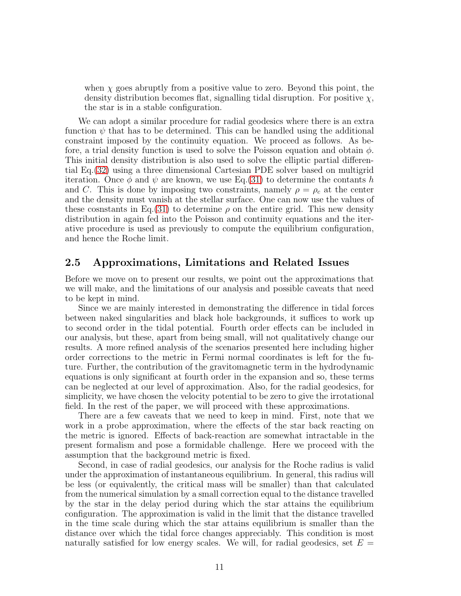when  $\chi$  goes abruptly from a positive value to zero. Beyond this point, the density distribution becomes flat, signalling tidal disruption. For positive  $\chi$ , the star is in a stable configuration.

We can adopt a similar procedure for radial geodesics where there is an extra function  $\psi$  that has to be determined. This can be handled using the additional constraint imposed by the continuity equation. We proceed as follows. As before, a trial density function is used to solve the Poisson equation and obtain  $\phi$ . This initial density distribution is also used to solve the elliptic partial differential Eq.[\(32\)](#page-9-3) using a three dimensional Cartesian PDE solver based on multigrid iteration. Once  $\phi$  and  $\psi$  are known, we use Eq.[\(31\)](#page-9-4) to determine the contants h and C. This is done by imposing two constraints, namely  $\rho = \rho_c$  at the center and the density must vanish at the stellar surface. One can now use the values of these cosnstants in Eq. [\(31\)](#page-9-4) to determine  $\rho$  on the entire grid. This new density distribution in again fed into the Poisson and continuity equations and the iterative procedure is used as previously to compute the equilibrium configuration, and hence the Roche limit.

#### 2.5 Approximations, Limitations and Related Issues

Before we move on to present our results, we point out the approximations that we will make, and the limitations of our analysis and possible caveats that need to be kept in mind.

Since we are mainly interested in demonstrating the difference in tidal forces between naked singularities and black hole backgrounds, it suffices to work up to second order in the tidal potential. Fourth order effects can be included in our analysis, but these, apart from being small, will not qualitatively change our results. A more refined analysis of the scenarios presented here including higher order corrections to the metric in Fermi normal coordinates is left for the future. Further, the contribution of the gravitomagnetic term in the hydrodynamic equations is only significant at fourth order in the expansion and so, these terms can be neglected at our level of approximation. Also, for the radial geodesics, for simplicity, we have chosen the velocity potential to be zero to give the irrotational field. In the rest of the paper, we will proceed with these approximations.

There are a few caveats that we need to keep in mind. First, note that we work in a probe approximation, where the effects of the star back reacting on the metric is ignored. Effects of back-reaction are somewhat intractable in the present formalism and pose a formidable challenge. Here we proceed with the assumption that the background metric is fixed.

Second, in case of radial geodesics, our analysis for the Roche radius is valid under the approximation of instantaneous equilibrium. In general, this radius will be less (or equivalently, the critical mass will be smaller) than that calculated from the numerical simulation by a small correction equal to the distance travelled by the star in the delay period during which the star attains the equilibrium configuration. The approximation is valid in the limit that the distance travelled in the time scale during which the star attains equilibrium is smaller than the distance over which the tidal force changes appreciably. This condition is most naturally satisfied for low energy scales. We will, for radial geodesics, set  $E =$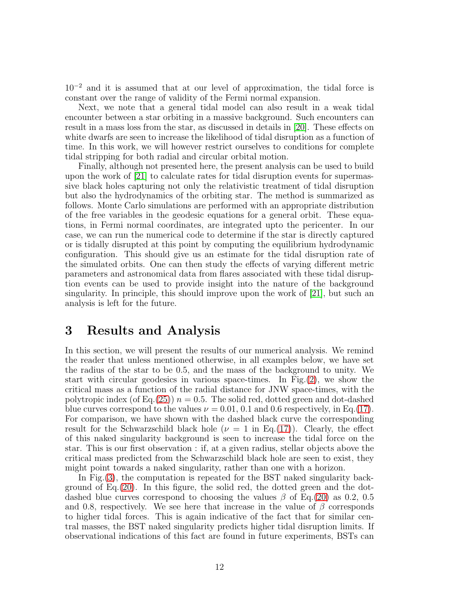$10^{-2}$  and it is assumed that at our level of approximation, the tidal force is constant over the range of validity of the Fermi normal expansion.

Next, we note that a general tidal model can also result in a weak tidal encounter between a star orbiting in a massive background. Such encounters can result in a mass loss from the star, as discussed in details in [\[20\]](#page-18-19). These effects on white dwarfs are seen to increase the likelihood of tidal disruption as a function of time. In this work, we will however restrict ourselves to conditions for complete tidal stripping for both radial and circular orbital motion.

Finally, although not presented here, the present analysis can be used to build upon the work of [\[21\]](#page-18-20) to calculate rates for tidal disruption events for supermassive black holes capturing not only the relativistic treatment of tidal disruption but also the hydrodynamics of the orbiting star. The method is summarized as follows. Monte Carlo simulations are performed with an appropriate distribution of the free variables in the geodesic equations for a general orbit. These equations, in Fermi normal coordinates, are integrated upto the pericenter. In our case, we can run the numerical code to determine if the star is directly captured or is tidally disrupted at this point by computing the equilibrium hydrodynamic configuration. This should give us an estimate for the tidal disruption rate of the simulated orbits. One can then study the effects of varying different metric parameters and astronomical data from flares associated with these tidal disruption events can be used to provide insight into the nature of the background singularity. In principle, this should improve upon the work of [\[21\]](#page-18-20), but such an analysis is left for the future.

### 3 Results and Analysis

In this section, we will present the results of our numerical analysis. We remind the reader that unless mentioned otherwise, in all examples below, we have set the radius of the star to be 0.5, and the mass of the background to unity. We start with circular geodesics in various space-times. In Fig. $(2)$ , we show the critical mass as a function of the radial distance for JNW space-times, with the polytropic index (of Eq.[\(25\)](#page-9-0))  $n = 0.5$ . The solid red, dotted green and dot-dashed blue curves correspond to the values  $\nu = 0.01, 0.1$  and 0.6 respectively, in Eq.[\(17\)](#page-7-1). For comparison, we have shown with the dashed black curve the corresponding result for the Schwarzschild black hole ( $\nu = 1$  in Eq.[\(17\)](#page-7-1)). Clearly, the effect of this naked singularity background is seen to increase the tidal force on the star. This is our first observation : if, at a given radius, stellar objects above the critical mass predicted from the Schwarzschild black hole are seen to exist, they might point towards a naked singularity, rather than one with a horizon.

In Fig.[\(3\)](#page-13-1), the computation is repeated for the BST naked singularity background of  $Eq.(20)$  $Eq.(20)$ . In this figure, the solid red, the dotted green and the dotdashed blue curves correspond to choosing the values  $\beta$  of Eq.[\(20\)](#page-7-2) as 0.2, 0.5 and 0.8, respectively. We see here that increase in the value of  $\beta$  corresponds to higher tidal forces. This is again indicative of the fact that for similar central masses, the BST naked singularity predicts higher tidal disruption limits. If observational indications of this fact are found in future experiments, BSTs can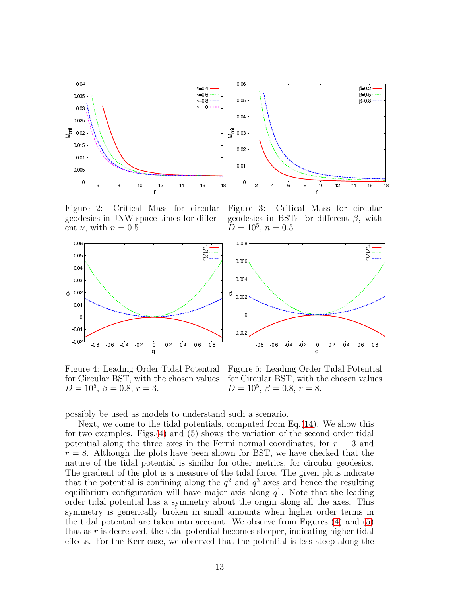

<span id="page-13-0"></span>Figure 2: Critical Mass for circular geodesics in JNW space-times for different  $\nu$ , with  $n = 0.5$ 

<span id="page-13-1"></span>Figure 3: Critical Mass for circular geodesics in BSTs for different  $\beta$ , with  $D = 10^5$ ,  $n = 0.5$ 





<span id="page-13-2"></span>Figure 4: Leading Order Tidal Potential for Circular BST, with the chosen values  $D = 10^5$ ,  $\beta = 0.8$ ,  $r = 3$ .

<span id="page-13-3"></span>Figure 5: Leading Order Tidal Potential for Circular BST, with the chosen values  $D = 10^5$ ,  $\beta = 0.8$ ,  $r = 8$ .

possibly be used as models to understand such a scenario.

Next, we come to the tidal potentials, computed from Eq.[\(14\)](#page-6-0). We show this for two examples. Figs.[\(4\)](#page-13-2) and [\(5\)](#page-13-3) shows the variation of the second order tidal potential along the three axes in the Fermi normal coordinates, for  $r = 3$  and  $r = 8$ . Although the plots have been shown for BST, we have checked that the nature of the tidal potential is similar for other metrics, for circular geodesics. The gradient of the plot is a measure of the tidal force. The given plots indicate that the potential is confining along the  $q^2$  and  $q^3$  axes and hence the resulting equilibrium configuration will have major axis along  $q<sup>1</sup>$ . Note that the leading order tidal potential has a symmetry about the origin along all the axes. This symmetry is generically broken in small amounts when higher order terms in the tidal potential are taken into account. We observe from Figures [\(4\)](#page-13-2) and [\(5\)](#page-13-3) that as  $r$  is decreased, the tidal potential becomes steeper, indicating higher tidal effects. For the Kerr case, we observed that the potential is less steep along the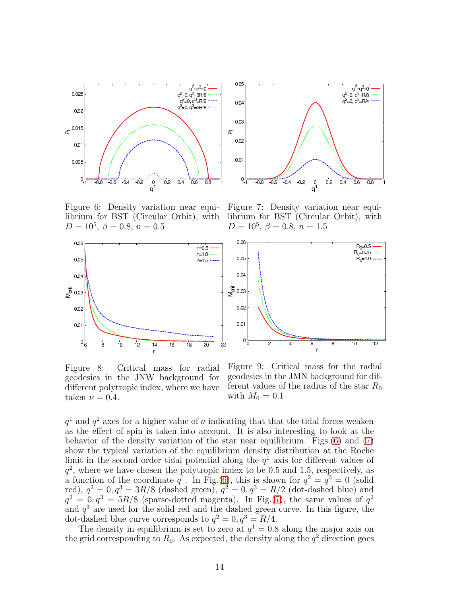

<span id="page-14-0"></span>Figure 6: Density variation near equilibrium for BST (Circular Orbit), with  $D = 10^5$ ,  $\beta = 0.8$ ,  $n = 0.5$ 



<span id="page-14-1"></span>Figure 7: Density variation near equilibrium for BST (Circular Orbit), with  $D = 10^5$ ,  $\beta = 0.8$ ,  $n = 1.5$ 

 $R_0 = 0.5$ 

 $\mathsf{R}_{0}$ =1.0  $-$ 

 $\overline{12}$ 



<span id="page-14-2"></span>Figure 8: Critical mass for radial geodesics in the JNW background for different polytropic index, where we have taken  $\nu = 0.4$ .

<span id="page-14-3"></span>Figure 9: Critical mass for the radial geodesics in the JMN background for different values of the radius of the star  $R_0$ with  $M_0 = 0.1$ 

 $q<sup>1</sup>$  and  $q<sup>2</sup>$  axes for a higher value of a indicating that that the tidal forces weaken as the effect of spin is taken into account. It is also interesting to look at the behavior of the density variation of the star near equilibrium. Figs.[\(6\)](#page-14-0) and [\(7\)](#page-14-1) show the typical variation of the equilibrium density distribution at the Roche limit in the second order tidal potential along the  $q<sup>1</sup>$  axis for different values of  $q^2$ , where we have chosen the polytropic index to be 0.5 and 1.5, respectively, as a function of the coordinate  $q^1$ . In Fig.[\(6\)](#page-14-0), this is shown for  $q^2 = q^3 = 0$  (solid red),  $q^2 = 0, q^3 = 3R/8$  (dashed green),  $q^2 = 0, q^3 = R/2$  (dot-dashed blue) and  $q^2 = 0, q^3 = 5R/8$  (sparse-dotted magenta). In Fig.[\(7\)](#page-14-1), the same values of  $q^2$ and  $q<sup>3</sup>$  are used for the solid red and the dashed green curve. In this figure, the dot-dashed blue curve corresponds to  $q^2 = 0, q^3 = R/4$ .

The density in equilibrium is set to zero at  $q<sup>1</sup> = 0.8$  along the major axis on the grid corresponding to  $R_0$ . As expected, the density along the  $q^2$  direction goes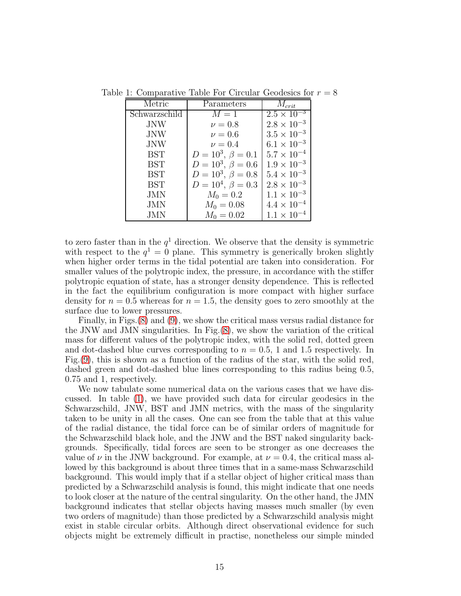<span id="page-15-0"></span>

| Metric        | Parameters                 | $M_{crit}$                      |
|---------------|----------------------------|---------------------------------|
| Schwarzschild | $M=1$                      | $2.\overline{5 \times 10^{-3}}$ |
| <b>JNW</b>    | $\nu = 0.8$                | $2.8 \times 10^{-3}$            |
| <b>JNW</b>    | $\nu = 0.6$                | $3.5 \times 10^{-3}$            |
| <b>JNW</b>    | $\nu = 0.4$                | $6.1 \times 10^{-3}$            |
| <b>BST</b>    | $D = 10^3$ , $\beta = 0.1$ | $5.7 \times 10^{-4}$            |
| <b>BST</b>    | $D = 10^3$ , $\beta = 0.6$ | $1.9 \times 10^{-3}$            |
| <b>BST</b>    | $D = 10^3$ , $\beta = 0.8$ | $5.4 \times 10^{-3}$            |
| <b>BST</b>    | $D = 10^4$ , $\beta = 0.3$ | $2.8 \times 10^{-3}$            |
| JMN           | $M_0 = 0.2$                | $1.1 \times 10^{-3}$            |
| <b>JMN</b>    | $M_0 = 0.08$               | $4.4 \times 10^{-4}$            |
| JMN           | $M_0 = 0.02$               | $1.1 \times 10^{-4}$            |

Table 1: Comparative Table For Circular Geodesics for  $r = 8$ 

to zero faster than in the  $q<sup>1</sup>$  direction. We observe that the density is symmetric with respect to the  $q<sup>1</sup> = 0$  plane. This symmetry is generically broken slightly when higher order terms in the tidal potential are taken into consideration. For smaller values of the polytropic index, the pressure, in accordance with the stiffer polytropic equation of state, has a stronger density dependence. This is reflected in the fact the equilibrium configuration is more compact with higher surface density for  $n = 0.5$  whereas for  $n = 1.5$ , the density goes to zero smoothly at the surface due to lower pressures.

Finally, in Figs.[\(8\)](#page-14-2) and [\(9\)](#page-14-3), we show the critical mass versus radial distance for the JNW and JMN singularities. In Fig. $(8)$ , we show the variation of the critical mass for different values of the polytropic index, with the solid red, dotted green and dot-dashed blue curves corresponding to  $n = 0.5$ , 1 and 1.5 respectively. In Fig.[\(9\)](#page-14-3), this is shown as a function of the radius of the star, with the solid red, dashed green and dot-dashed blue lines corresponding to this radius being 0.5, 0.75 and 1, respectively.

We now tabulate some numerical data on the various cases that we have discussed. In table [\(1\)](#page-15-0), we have provided such data for circular geodesics in the Schwarzschild, JNW, BST and JMN metrics, with the mass of the singularity taken to be unity in all the cases. One can see from the table that at this value of the radial distance, the tidal force can be of similar orders of magnitude for the Schwarzschild black hole, and the JNW and the BST naked singularity backgrounds. Specifically, tidal forces are seen to be stronger as one decreases the value of  $\nu$  in the JNW background. For example, at  $\nu = 0.4$ , the critical mass allowed by this background is about three times that in a same-mass Schwarzschild background. This would imply that if a stellar object of higher critical mass than predicted by a Schwarzschild analysis is found, this might indicate that one needs to look closer at the nature of the central singularity. On the other hand, the JMN background indicates that stellar objects having masses much smaller (by even two orders of magnitude) than those predicted by a Schwarzschild analysis might exist in stable circular orbits. Although direct observational evidence for such objects might be extremely difficult in practise, nonetheless our simple minded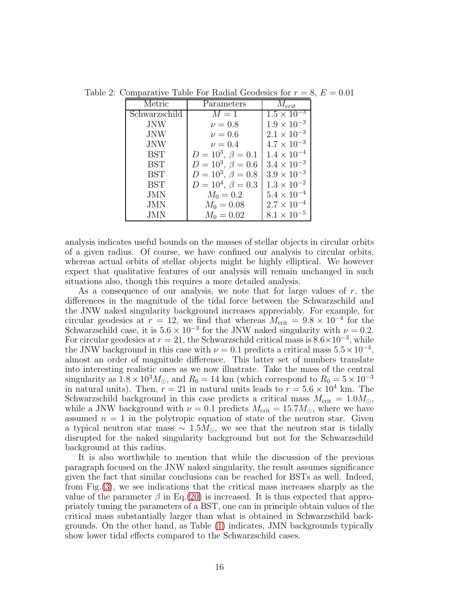<span id="page-16-0"></span>

| Metric        | Parameters                 | $M_{crit}$           |
|---------------|----------------------------|----------------------|
| Schwarzschild | $M=1$                      | $1.5 \times 10^{-3}$ |
| <b>JNW</b>    | $\nu = 0.8$                | $1.9 \times 10^{-3}$ |
| <b>JNW</b>    | $\nu = 0.6$                | $2.1 \times 10^{-3}$ |
| <b>JNW</b>    | $\nu = 0.4$                | $4.7 \times 10^{-3}$ |
| <b>BST</b>    | $D = 10^3, \beta = 0.1$    | $1.4 \times 10^{-4}$ |
| <b>BST</b>    | $D = 10^3, \beta = 0.6$    | $3.4 \times 10^{-3}$ |
| <b>BST</b>    | $D = 10^3$ , $\beta = 0.8$ | $3.9 \times 10^{-3}$ |
| <b>BST</b>    | $D = 10^4$ , $\beta = 0.3$ | $1.3 \times 10^{-2}$ |
| JMN           | $M_0 = 0.2$                | $5.4 \times 10^{-4}$ |
| <b>JMN</b>    | $M_0 = 0.08$               | $2.7 \times 10^{-4}$ |
| JMN           | $M_0 = 0.02$               | $8.1 \times 10^{-5}$ |

Table 2: Comparative Table For Radial Geodesics for  $r = 8, E = 0.01$ 

analysis indicates useful bounds on the masses of stellar objects in circular orbits of a given radius. Of course, we have confined our analysis to circular orbits, whereas actual orbits of stellar objects might be highly elliptical. We however expect that qualitative features of our analysis will remain unchanged in such situations also, though this requires a more detailed analysis.

As a consequence of our analysis, we note that for large values of r, the differences in the magnitude of the tidal force between the Schwarzschild and the JNW naked singularity background increases appreciably. For example, for circular geodesics at  $r = 12$ , we find that whereas  $M_{\text{crit}} = 9.8 \times 10^{-4}$  for the Schwarzschild case, it is  $5.6 \times 10^{-3}$  for the JNW naked singularity with  $\nu = 0.2$ . For circular geodesics at  $r = 21$ , the Schwarzschild critical mass is  $8.6 \times 10^{-3}$ , while the JNW background in this case with  $\nu = 0.1$  predicts a critical mass  $5.5 \times 10^{-4}$ , almost an order of magnitude difference. This latter set of numbers translate into interesting realistic ones as we now illustrate. Take the mass of the central singularity as  $1.8 \times 10^3 M_{\odot}$ , and  $R_0 = 14$  km (which correspond to  $R_0 = 5 \times 10^{-3}$ in natural units). Then,  $r = 21$  in natural units leads to  $r = 5.6 \times 10^4$  km. The Schwarzschild background in this case predicts a critical mass  $M_{\text{crit}} = 1.0 M_{\odot}$ , while a JNW background with  $\nu = 0.1$  predicts  $M_{\text{crit}} = 15.7 M_{\odot}$ , where we have assumed  $n = 1$  in the polytropic equation of state of the neutron star. Given a typical neutron star mass  $\sim 1.5M_{\odot}$ , we see that the neutron star is tidally disrupted for the naked singularity background but not for the Schwarzschild background at this radius.

It is also worthwhile to mention that while the discussion of the previous paragraph focused on the JNW naked singularity, the result assumes significance given the fact that similar conclusions can be reached for BSTs as well. Indeed, from Fig.[\(3\)](#page-13-1), we see indications that the critical mass increases sharply as the value of the parameter  $\beta$  in Eq.[\(20\)](#page-7-2) is increased. It is thus expected that appropriately tuning the parameters of a BST, one can in principle obtain values of the critical mass substantially larger than what is obtained in Schwarzschild backgrounds. On the other hand, as Table [\(1\)](#page-15-0) indicates, JMN backgrounds typically show lower tidal effects compared to the Schwarzschild cases.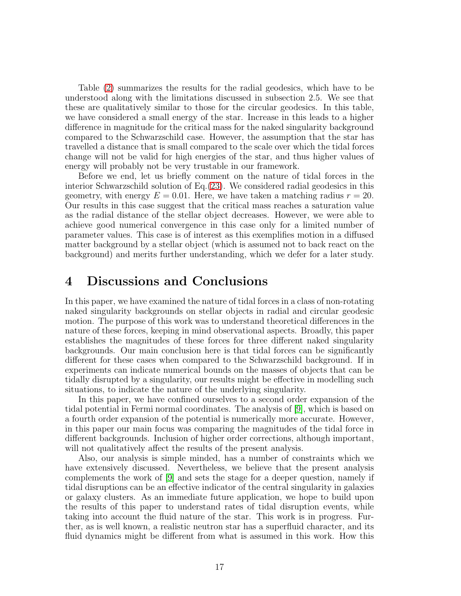Table [\(2\)](#page-16-0) summarizes the results for the radial geodesics, which have to be understood along with the limitations discussed in subsection 2.5. We see that these are qualitatively similar to those for the circular geodesics. In this table, we have considered a small energy of the star. Increase in this leads to a higher difference in magnitude for the critical mass for the naked singularity background compared to the Schwarzschild case. However, the assumption that the star has travelled a distance that is small compared to the scale over which the tidal forces change will not be valid for high energies of the star, and thus higher values of energy will probably not be very trustable in our framework.

Before we end, let us briefly comment on the nature of tidal forces in the interior Schwarzschild solution of Eq.[\(23\)](#page-8-2). We considered radial geodesics in this geometry, with energy  $E = 0.01$ . Here, we have taken a matching radius  $r = 20$ . Our results in this case suggest that the critical mass reaches a saturation value as the radial distance of the stellar object decreases. However, we were able to achieve good numerical convergence in this case only for a limited number of parameter values. This case is of interest as this exemplifies motion in a diffused matter background by a stellar object (which is assumed not to back react on the background) and merits further understanding, which we defer for a later study.

### 4 Discussions and Conclusions

In this paper, we have examined the nature of tidal forces in a class of non-rotating naked singularity backgrounds on stellar objects in radial and circular geodesic motion. The purpose of this work was to understand theoretical differences in the nature of these forces, keeping in mind observational aspects. Broadly, this paper establishes the magnitudes of these forces for three different naked singularity backgrounds. Our main conclusion here is that tidal forces can be significantly different for these cases when compared to the Schwarzschild background. If in experiments can indicate numerical bounds on the masses of objects that can be tidally disrupted by a singularity, our results might be effective in modelling such situations, to indicate the nature of the underlying singularity.

In this paper, we have confined ourselves to a second order expansion of the tidal potential in Fermi normal coordinates. The analysis of [\[9\]](#page-18-8), which is based on a fourth order expansion of the potential is numerically more accurate. However, in this paper our main focus was comparing the magnitudes of the tidal force in different backgrounds. Inclusion of higher order corrections, although important, will not qualitatively affect the results of the present analysis.

Also, our analysis is simple minded, has a number of constraints which we have extensively discussed. Nevertheless, we believe that the present analysis complements the work of [\[9\]](#page-18-8) and sets the stage for a deeper question, namely if tidal disruptions can be an effective indicator of the central singularity in galaxies or galaxy clusters. As an immediate future application, we hope to build upon the results of this paper to understand rates of tidal disruption events, while taking into account the fluid nature of the star. This work is in progress. Further, as is well known, a realistic neutron star has a superfluid character, and its fluid dynamics might be different from what is assumed in this work. How this